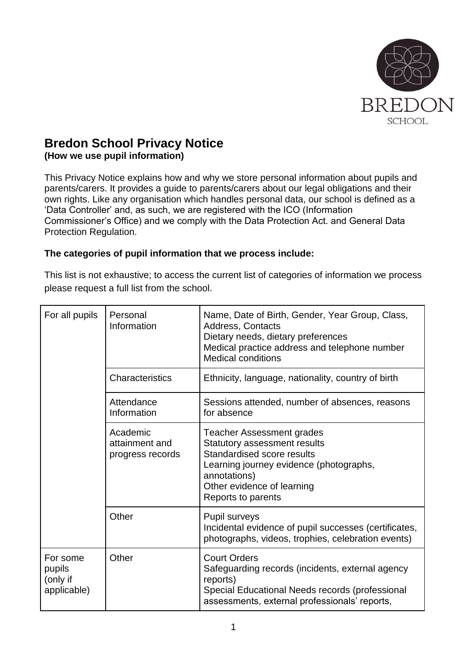

# **Bredon School Privacy Notice**

**(How we use pupil information)**

This Privacy Notice explains how and why we store personal information about pupils and parents/carers. It provides a guide to parents/carers about our legal obligations and their own rights. Like any organisation which handles personal data, our school is defined as a 'Data Controller' and, as such, we are registered with the ICO (Information Commissioner's Office) and we comply with the Data Protection Act. and General Data Protection Regulation.

#### **The categories of pupil information that we process include:**

This list is not exhaustive; to access the current list of categories of information we process please request a full list from the school.

| For all pupils                                | Personal<br>Information                        | Name, Date of Birth, Gender, Year Group, Class,<br>Address, Contacts<br>Dietary needs, dietary preferences<br>Medical practice address and telephone number<br><b>Medical conditions</b>                             |
|-----------------------------------------------|------------------------------------------------|----------------------------------------------------------------------------------------------------------------------------------------------------------------------------------------------------------------------|
|                                               | Characteristics                                | Ethnicity, language, nationality, country of birth                                                                                                                                                                   |
|                                               | Attendance<br>Information                      | Sessions attended, number of absences, reasons<br>for absence                                                                                                                                                        |
|                                               | Academic<br>attainment and<br>progress records | <b>Teacher Assessment grades</b><br><b>Statutory assessment results</b><br>Standardised score results<br>Learning journey evidence (photographs,<br>annotations)<br>Other evidence of learning<br>Reports to parents |
|                                               | Other                                          | Pupil surveys<br>Incidental evidence of pupil successes (certificates,<br>photographs, videos, trophies, celebration events)                                                                                         |
| For some<br>pupils<br>(only if<br>applicable) | Other                                          | <b>Court Orders</b><br>Safeguarding records (incidents, external agency<br>reports)<br>Special Educational Needs records (professional<br>assessments, external professionals' reports,                              |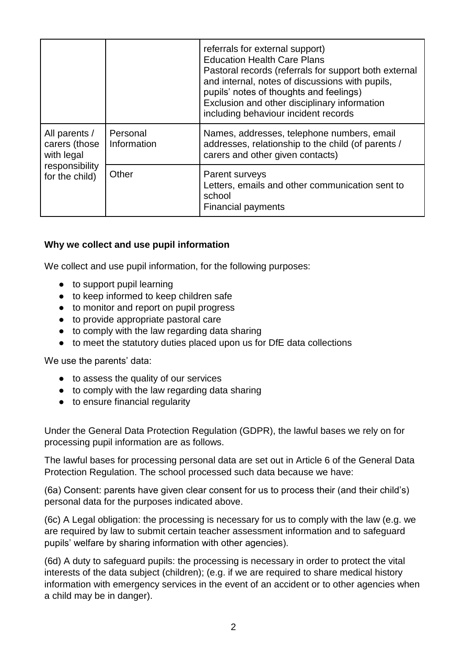|                                                                                  |                         | referrals for external support)<br><b>Education Health Care Plans</b><br>Pastoral records (referrals for support both external<br>and internal, notes of discussions with pupils,<br>pupils' notes of thoughts and feelings)<br>Exclusion and other disciplinary information<br>including behaviour incident records |
|----------------------------------------------------------------------------------|-------------------------|----------------------------------------------------------------------------------------------------------------------------------------------------------------------------------------------------------------------------------------------------------------------------------------------------------------------|
| All parents /<br>carers (those<br>with legal<br>responsibility<br>for the child) | Personal<br>Information | Names, addresses, telephone numbers, email<br>addresses, relationship to the child (of parents /<br>carers and other given contacts)                                                                                                                                                                                 |
|                                                                                  | Other                   | Parent surveys<br>Letters, emails and other communication sent to<br>school<br><b>Financial payments</b>                                                                                                                                                                                                             |

#### **Why we collect and use pupil information**

We collect and use pupil information, for the following purposes:

- to support pupil learning
- to keep informed to keep children safe
- to monitor and report on pupil progress
- to provide appropriate pastoral care
- to comply with the law regarding data sharing
- to meet the statutory duties placed upon us for DfE data collections

We use the parents' data:

- to assess the quality of our services
- to comply with the law regarding data sharing
- to ensure financial regularity

Under the General Data Protection Regulation (GDPR), the lawful bases we rely on for processing pupil information are as follows.

The lawful bases for processing personal data are set out in Article 6 of the General Data Protection Regulation. The school processed such data because we have:

(6a) Consent: parents have given clear consent for us to process their (and their child's) personal data for the purposes indicated above.

(6c) A Legal obligation: the processing is necessary for us to comply with the law (e.g. we are required by law to submit certain teacher assessment information and to safeguard pupils' welfare by sharing information with other agencies).

(6d) A duty to safeguard pupils: the processing is necessary in order to protect the vital interests of the data subject (children); (e.g. if we are required to share medical history information with emergency services in the event of an accident or to other agencies when a child may be in danger).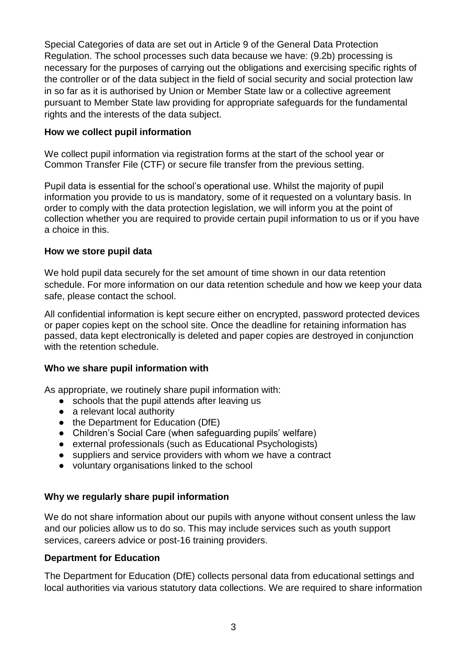Special Categories of data are set out in Article 9 of the General Data Protection Regulation. The school processes such data because we have: (9.2b) processing is necessary for the purposes of carrying out the obligations and exercising specific rights of the controller or of the data subject in the field of social security and social protection law in so far as it is authorised by Union or Member State law or a collective agreement pursuant to Member State law providing for appropriate safeguards for the fundamental rights and the interests of the data subject.

#### **How we collect pupil information**

We collect pupil information via registration forms at the start of the school year or Common Transfer File (CTF) or secure file transfer from the previous setting.

Pupil data is essential for the school's operational use. Whilst the majority of pupil information you provide to us is mandatory, some of it requested on a voluntary basis. In order to comply with the data protection legislation, we will inform you at the point of collection whether you are required to provide certain pupil information to us or if you have a choice in this.

#### **How we store pupil data**

We hold pupil data securely for the set amount of time shown in our data retention schedule. For more information on our data retention schedule and how we keep your data safe, please contact the school.

All confidential information is kept secure either on encrypted, password protected devices or paper copies kept on the school site. Once the deadline for retaining information has passed, data kept electronically is deleted and paper copies are destroyed in conjunction with the retention schedule.

## **Who we share pupil information with**

As appropriate, we routinely share pupil information with:

- schools that the pupil attends after leaving us
- a relevant local authority
- the Department for Education (DfE)
- Children's Social Care (when safeguarding pupils' welfare)
- external professionals (such as Educational Psychologists)
- suppliers and service providers with whom we have a contract
- voluntary organisations linked to the school

## **Why we regularly share pupil information**

We do not share information about our pupils with anyone without consent unless the law and our policies allow us to do so. This may include services such as youth support services, careers advice or post-16 training providers.

#### **Department for Education**

The Department for Education (DfE) collects personal data from educational settings and local authorities via various statutory data collections. We are required to share information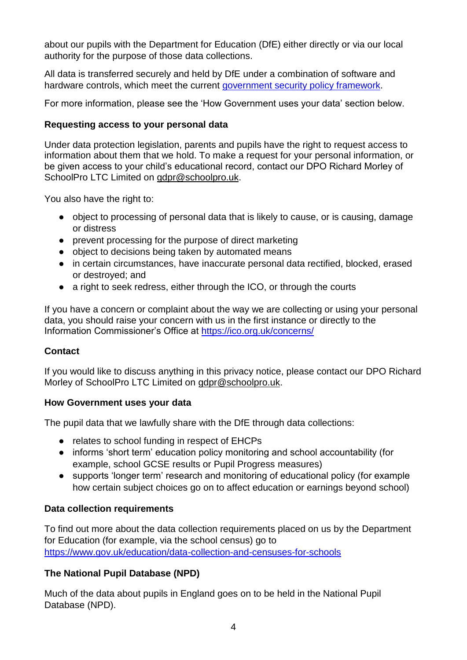about our pupils with the Department for Education (DfE) either directly or via our local authority for the purpose of those data collections.

All data is transferred securely and held by DfE under a combination of software and hardware controls, which meet the current [government security policy framework.](https://www.gov.uk/government/publications/security-policy-framework)

For more information, please see the 'How Government uses your data' section below.

### **Requesting access to your personal data**

Under data protection legislation, parents and pupils have the right to request access to information about them that we hold. To make a request for your personal information, or be given access to your child's educational record, contact our DPO Richard Morley of SchoolPro LTC Limited on [gdpr@schoolpro.uk.](mailto:gdpr@schoolpro.uk)

You also have the right to:

- object to processing of personal data that is likely to cause, or is causing, damage or distress
- prevent processing for the purpose of direct marketing
- object to decisions being taken by automated means
- in certain circumstances, have inaccurate personal data rectified, blocked, erased or destroyed; and
- a right to seek redress, either through the ICO, or through the courts

If you have a concern or complaint about the way we are collecting or using your personal data, you should raise your concern with us in the first instance or directly to the Information Commissioner's Office at<https://ico.org.uk/concerns/>

## **Contact**

If you would like to discuss anything in this privacy notice, please contact our DPO Richard Morley of SchoolPro LTC Limited on [gdpr@schoolpro.uk.](mailto:gdpr@schoolpro.uk)

## **How Government uses your data**

The pupil data that we lawfully share with the DfE through data collections:

- relates to school funding in respect of EHCPs
- informs 'short term' education policy monitoring and school accountability (for example, school GCSE results or Pupil Progress measures)
- supports 'longer term' research and monitoring of educational policy (for example how certain subject choices go on to affect education or earnings beyond school)

## **Data collection requirements**

To find out more about the data collection requirements placed on us by the Department for Education (for example, via the school census) go to <https://www.gov.uk/education/data-collection-and-censuses-for-schools>

## **The National Pupil Database (NPD)**

Much of the data about pupils in England goes on to be held in the National Pupil Database (NPD).